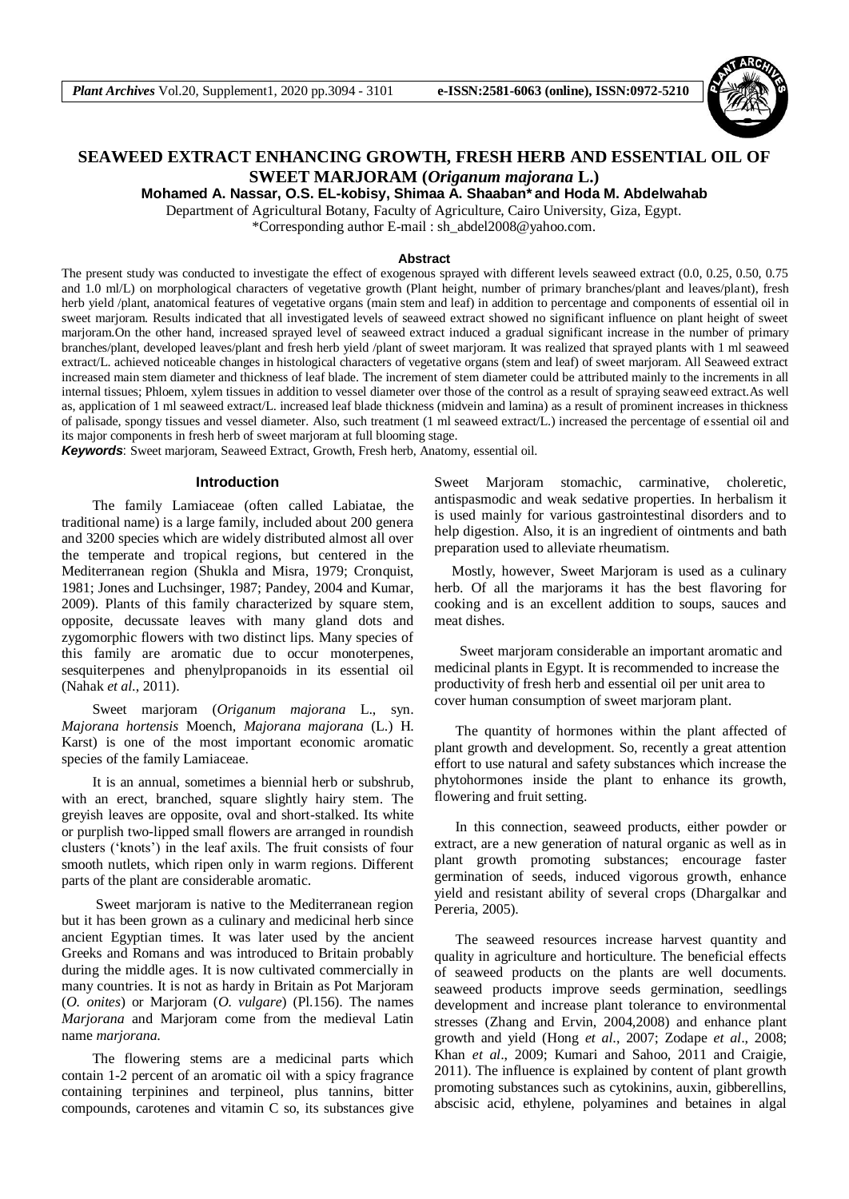

# **SEAWEED EXTRACT ENHANCING GROWTH, FRESH HERB AND ESSENTIAL OIL OF SWEET MARJORAM (***Origanum majorana* **L.)**

**Mohamed A. Nassar, O.S. EL-kobisy, Shimaa A. Shaaban\* and Hoda M. Abdelwahab** 

Department of Agricultural Botany, Faculty of Agriculture, Cairo University, Giza, Egypt.

\*Corresponding author E-mail : sh\_abdel2008@yahoo.com.

#### **Abstract**

The present study was conducted to investigate the effect of exogenous sprayed with different levels seaweed extract (0.0, 0.25, 0.50, 0.75 and 1.0 ml/L) on morphological characters of vegetative growth (Plant height, number of primary branches/plant and leaves/plant), fresh herb yield /plant, anatomical features of vegetative organs (main stem and leaf) in addition to percentage and components of essential oil in sweet marjoram. Results indicated that all investigated levels of seaweed extract showed no significant influence on plant height of sweet marjoram.On the other hand, increased sprayed level of seaweed extract induced a gradual significant increase in the number of primary branches/plant, developed leaves/plant and fresh herb yield /plant of sweet marjoram. It was realized that sprayed plants with 1 ml seaweed extract/L. achieved noticeable changes in histological characters of vegetative organs (stem and leaf) of sweet marjoram. All Seaweed extract increased main stem diameter and thickness of leaf blade. The increment of stem diameter could be attributed mainly to the increments in all internal tissues; Phloem, xylem tissues in addition to vessel diameter over those of the control as a result of spraying seaweed extract.As well as, application of 1 ml seaweed extract/L. increased leaf blade thickness (midvein and lamina) as a result of prominent increases in thickness of palisade, spongy tissues and vessel diameter. Also, such treatment (1 ml seaweed extract/L.) increased the percentage of essential oil and its major components in fresh herb of sweet marjoram at full blooming stage.

*Keywords*: Sweet marjoram, Seaweed Extract, Growth, Fresh herb, Anatomy, essential oil.

#### **Introduction**

The family Lamiaceae (often called Labiatae, the traditional name) is a large family, included about 200 genera and 3200 species which are widely distributed almost all over the temperate and tropical regions, but centered in the Mediterranean region (Shukla and Misra, 1979; Cronquist, 1981; Jones and Luchsinger, 1987; Pandey, 2004 and Kumar, 2009). Plants of this family characterized by square stem, opposite, decussate leaves with many gland dots and zygomorphic flowers with two distinct lips. Many species of this family are aromatic due to occur monoterpenes, sesquiterpenes and phenylpropanoids in its essential oil (Nahak *et al*., 2011).

Sweet marjoram (*Origanum majorana* L., syn. *Majorana hortensis* Moench, *Majorana majorana* (L.) H. Karst) is one of the most important economic aromatic species of the family Lamiaceae.

It is an annual, sometimes a biennial herb or subshrub, with an erect, branched, square slightly hairy stem. The greyish leaves are opposite, oval and short-stalked. Its white or purplish two-lipped small flowers are arranged in roundish clusters ('knots') in the leaf axils. The fruit consists of four smooth nutlets, which ripen only in warm regions. Different parts of the plant are considerable aromatic.

Sweet marjoram is native to the Mediterranean region but it has been grown as a culinary and medicinal herb since ancient Egyptian times. It was later used by the ancient Greeks and Romans and was introduced to Britain probably during the middle ages. It is now cultivated commercially in many countries. It is not as hardy in Britain as Pot Marjoram (*O. onites*) or Marjoram (*O. vulgare*) (Pl.156). The names *Marjorana* and Marjoram come from the medieval Latin name *marjorana*.

The flowering stems are a medicinal parts which contain 1-2 percent of an aromatic oil with a spicy fragrance containing terpinines and terpineol, plus tannins, bitter compounds, carotenes and vitamin C so, its substances give Sweet Marjoram stomachic, carminative, choleretic, antispasmodic and weak sedative properties. In herbalism it is used mainly for various gastrointestinal disorders and to help digestion. Also, it is an ingredient of ointments and bath preparation used to alleviate rheumatism.

 Mostly, however, Sweet Marjoram is used as a culinary herb. Of all the marjorams it has the best flavoring for cooking and is an excellent addition to soups, sauces and meat dishes.

 Sweet marjoram considerable an important aromatic and medicinal plants in Egypt. It is recommended to increase the productivity of fresh herb and essential oil per unit area to cover human consumption of sweet marjoram plant.

 The quantity of hormones within the plant affected of plant growth and development. So, recently a great attention effort to use natural and safety substances which increase the phytohormones inside the plant to enhance its growth, flowering and fruit setting.

 In this connection, seaweed products, either powder or extract, are a new generation of natural organic as well as in plant growth promoting substances; encourage faster germination of seeds, induced vigorous growth, enhance yield and resistant ability of several crops (Dhargalkar and Pereria, 2005).

 The seaweed resources increase harvest quantity and quality in agriculture and horticulture. The beneficial effects of seaweed products on the plants are well documents. seaweed products improve seeds germination, seedlings development and increase plant tolerance to environmental stresses (Zhang and Ervin, 2004,2008) and enhance plant growth and yield (Hong *et al*., 2007; Zodape *et al*., 2008; Khan *et al*., 2009; Kumari and Sahoo, 2011 and Craigie, 2011). The influence is explained by content of plant growth promoting substances such as cytokinins, auxin, gibberellins, abscisic acid, ethylene, polyamines and betaines in algal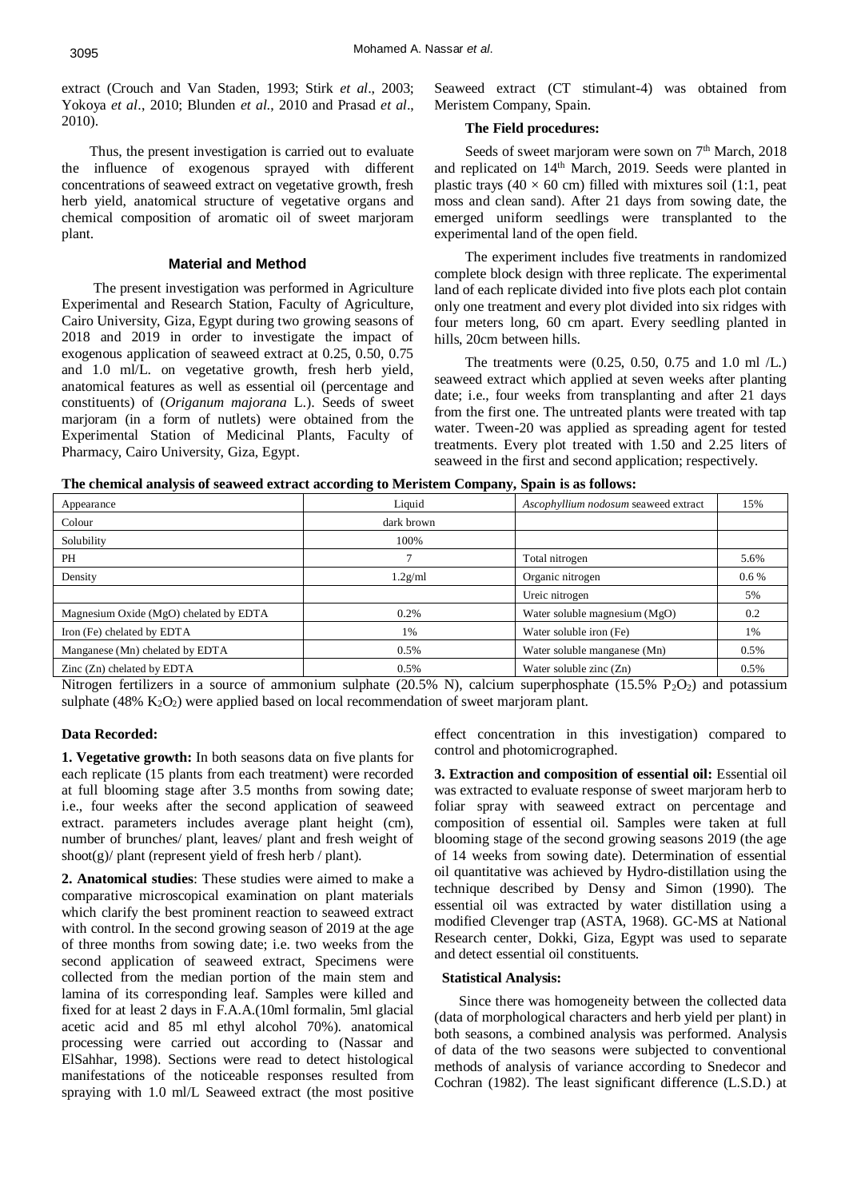extract (Crouch and Van Staden, 1993; Stirk *et al*., 2003; Yokoya *et al*., 2010; Blunden *et al*., 2010 and Prasad *et al*., 2010).

 Thus, the present investigation is carried out to evaluate the influence of exogenous sprayed with different concentrations of seaweed extract on vegetative growth, fresh herb yield, anatomical structure of vegetative organs and chemical composition of aromatic oil of sweet marjoram plant.

# **Material and Method**

 The present investigation was performed in Agriculture Experimental and Research Station, Faculty of Agriculture, Cairo University, Giza, Egypt during two growing seasons of 2018 and 2019 in order to investigate the impact of exogenous application of seaweed extract at 0.25, 0.50, 0.75 and 1.0 ml/L. on vegetative growth, fresh herb yield, anatomical features as well as essential oil (percentage and constituents) of (*Origanum majorana* L.). Seeds of sweet marjoram (in a form of nutlets) were obtained from the Experimental Station of Medicinal Plants, Faculty of Pharmacy, Cairo University, Giza, Egypt.

Seaweed extract (CT stimulant-4) was obtained from Meristem Company, Spain.

# **The Field procedures:**

Seeds of sweet marjoram were sown on  $7<sup>th</sup>$  March, 2018 and replicated on 14th March, 2019. Seeds were planted in plastic trays (40  $\times$  60 cm) filled with mixtures soil (1:1, peat moss and clean sand). After 21 days from sowing date, the emerged uniform seedlings were transplanted to the experimental land of the open field.

The experiment includes five treatments in randomized complete block design with three replicate. The experimental land of each replicate divided into five plots each plot contain only one treatment and every plot divided into six ridges with four meters long, 60 cm apart. Every seedling planted in hills, 20cm between hills.

The treatments were (0.25, 0.50, 0.75 and 1.0 ml /L.) seaweed extract which applied at seven weeks after planting date; i.e., four weeks from transplanting and after 21 days from the first one. The untreated plants were treated with tap water. Tween-20 was applied as spreading agent for tested treatments. Every plot treated with 1.50 and 2.25 liters of seaweed in the first and second application; respectively.

**The chemical analysis of seaweed extract according to Meristem Company, Spain is as follows:** 

| Appearance                             | Liquid     | Ascophyllium nodosum seaweed extract | 15%               |  |  |
|----------------------------------------|------------|--------------------------------------|-------------------|--|--|
| Colour                                 | dark brown |                                      |                   |  |  |
| Solubility                             | 100%       |                                      |                   |  |  |
| PH                                     |            | Total nitrogen                       | 5.6%              |  |  |
| Density                                | 1.2g/ml    | Organic nitrogen                     | $0.6\%$           |  |  |
|                                        |            | Ureic nitrogen                       | 5%                |  |  |
| Magnesium Oxide (MgO) chelated by EDTA | 0.2%       | Water soluble magnesium (MgO)        |                   |  |  |
| Iron (Fe) chelated by EDTA             | 1%         | Water soluble iron (Fe)              |                   |  |  |
| Manganese (Mn) chelated by EDTA        | 0.5%       | Water soluble manganese (Mn)         |                   |  |  |
| Zinc $(Zn)$ chelated by EDTA           | 0.5%       | Water soluble zinc (Zn)<br>0.5%      |                   |  |  |
|                                        |            |                                      | 0.2<br>1%<br>0.5% |  |  |

Nitrogen fertilizers in a source of ammonium sulphate (20.5% N), calcium superphosphate (15.5% P<sub>2</sub>O<sub>2</sub>) and potassium sulphate  $(48\%~K_2O_2)$  were applied based on local recommendation of sweet marjoram plant.

# **Data Recorded:**

**1. Vegetative growth:** In both seasons data on five plants for each replicate (15 plants from each treatment) were recorded at full blooming stage after 3.5 months from sowing date; i.e., four weeks after the second application of seaweed extract. parameters includes average plant height (cm), number of brunches/ plant, leaves/ plant and fresh weight of shoot(g)/ plant (represent yield of fresh herb / plant).

**2. Anatomical studies**: These studies were aimed to make a comparative microscopical examination on plant materials which clarify the best prominent reaction to seaweed extract with control. In the second growing season of 2019 at the age of three months from sowing date; i.e. two weeks from the second application of seaweed extract, Specimens were collected from the median portion of the main stem and lamina of its corresponding leaf. Samples were killed and fixed for at least 2 days in F.A.A.(10ml formalin, 5ml glacial acetic acid and 85 ml ethyl alcohol 70%). anatomical processing were carried out according to (Nassar and ElSahhar, 1998). Sections were read to detect histological manifestations of the noticeable responses resulted from spraying with 1.0 ml/L Seaweed extract (the most positive effect concentration in this investigation) compared to control and photomicrographed.

**3. Extraction and composition of essential oil:** Essential oil was extracted to evaluate response of sweet marjoram herb to foliar spray with seaweed extract on percentage and composition of essential oil. Samples were taken at full blooming stage of the second growing seasons 2019 (the age of 14 weeks from sowing date). Determination of essential oil quantitative was achieved by Hydro-distillation using the technique described by Densy and Simon (1990). The essential oil was extracted by water distillation using a modified Clevenger trap (ASTA, 1968). GC-MS at National Research center, Dokki, Giza, Egypt was used to separate and detect essential oil constituents.

# **Statistical Analysis:**

 Since there was homogeneity between the collected data (data of morphological characters and herb yield per plant) in both seasons, a combined analysis was performed. Analysis of data of the two seasons were subjected to conventional methods of analysis of variance according to Snedecor and Cochran (1982). The least significant difference (L.S.D.) at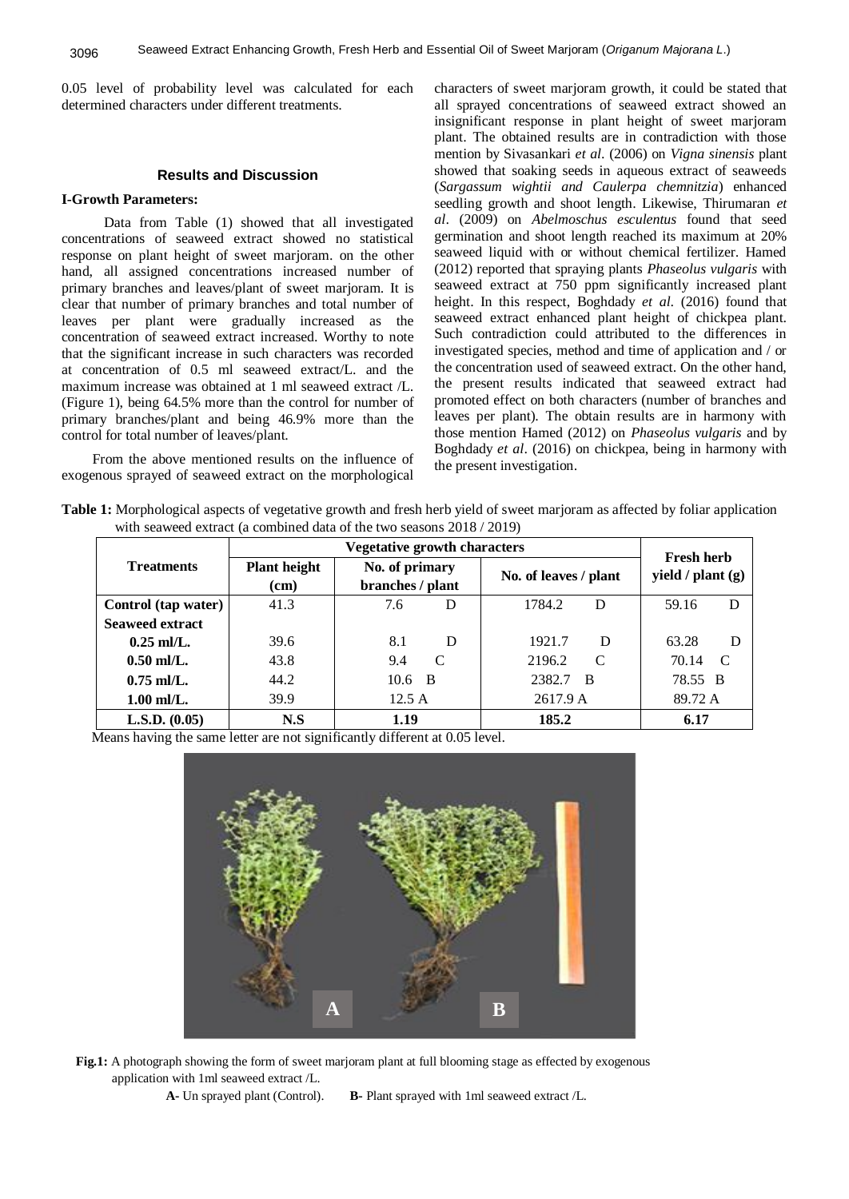0.05 level of probability level was calculated for each determined characters under different treatments.

#### **Results and Discussion**

# **I-Growth Parameters:**

 Data from Table (1) showed that all investigated concentrations of seaweed extract showed no statistical response on plant height of sweet marjoram. on the other hand, all assigned concentrations increased number of primary branches and leaves/plant of sweet marjoram. It is clear that number of primary branches and total number of leaves per plant were gradually increased as the concentration of seaweed extract increased. Worthy to note that the significant increase in such characters was recorded at concentration of 0.5 ml seaweed extract/L. and the maximum increase was obtained at 1 ml seaweed extract /L. (Figure 1), being 64.5% more than the control for number of primary branches/plant and being 46.9% more than the control for total number of leaves/plant.

From the above mentioned results on the influence of exogenous sprayed of seaweed extract on the morphological characters of sweet marjoram growth, it could be stated that all sprayed concentrations of seaweed extract showed an insignificant response in plant height of sweet marjoram plant. The obtained results are in contradiction with those mention by Sivasankari *et al*. (2006) on *Vigna sinensis* plant showed that soaking seeds in aqueous extract of seaweeds (*Sargassum wightii and Caulerpa chemnitzia*) enhanced seedling growth and shoot length. Likewise, Thirumaran *et al*. (2009) on *Abelmoschus esculentus* found that seed germination and shoot length reached its maximum at 20% seaweed liquid with or without chemical fertilizer. Hamed (2012) reported that spraying plants *Phaseolus vulgaris* with seaweed extract at 750 ppm significantly increased plant height. In this respect, Boghdady *et al*. (2016) found that seaweed extract enhanced plant height of chickpea plant. Such contradiction could attributed to the differences in investigated species, method and time of application and / or the concentration used of seaweed extract. On the other hand, the present results indicated that seaweed extract had promoted effect on both characters (number of branches and leaves per plant). The obtain results are in harmony with those mention Hamed (2012) on *Phaseolus vulgaris* and by Boghdady *et al*. (2016) on chickpea, being in harmony with the present investigation.

**Table 1:** Morphological aspects of vegetative growth and fresh herb yield of sweet marjoram as affected by foliar application with seaweed extract (a combined data of the two seasons  $2018 / 2019$ )

|                        | <b>Vegetative growth characters</b> |                  |                         | <b>Fresh herb</b>  |  |
|------------------------|-------------------------------------|------------------|-------------------------|--------------------|--|
| <b>Treatments</b>      | <b>Plant height</b>                 | No. of primary   | No. of leaves / plant   | yield / $plant(g)$ |  |
|                        | (cm)                                | branches / plant |                         |                    |  |
| Control (tap water)    | 41.3                                | 7.6<br>D         | 1784.2<br>D             | 59.16              |  |
| <b>Seaweed extract</b> |                                     |                  |                         |                    |  |
| $0.25$ ml/L.           | 39.6                                | 8.1<br>D         | 1921.7<br>D             | 63.28              |  |
| $0.50$ ml/L.           | 43.8                                | 9.4<br>C         | 2196.2<br>$\mathcal{C}$ | 70.14<br>C         |  |
| $0.75$ ml/L.           | 44.2                                | - B<br>10.6      | 2382.7 B                | 78.55 B            |  |
| $1.00$ ml/L.           | 39.9                                | 12.5A            | 2617.9 A                | 89.72 A            |  |
| L.S.D. (0.05)          | N.S                                 | 1.19             | 185.2                   | 6.17               |  |

Means having the same letter are not significantly different at 0.05 level.



**Fig.1:** A photograph showing the form of sweet marjoram plant at full blooming stage as effected by exogenous application with 1ml seaweed extract /L.

 **A-** Un sprayed plant (Control). **B-** Plant sprayed with 1ml seaweed extract /L.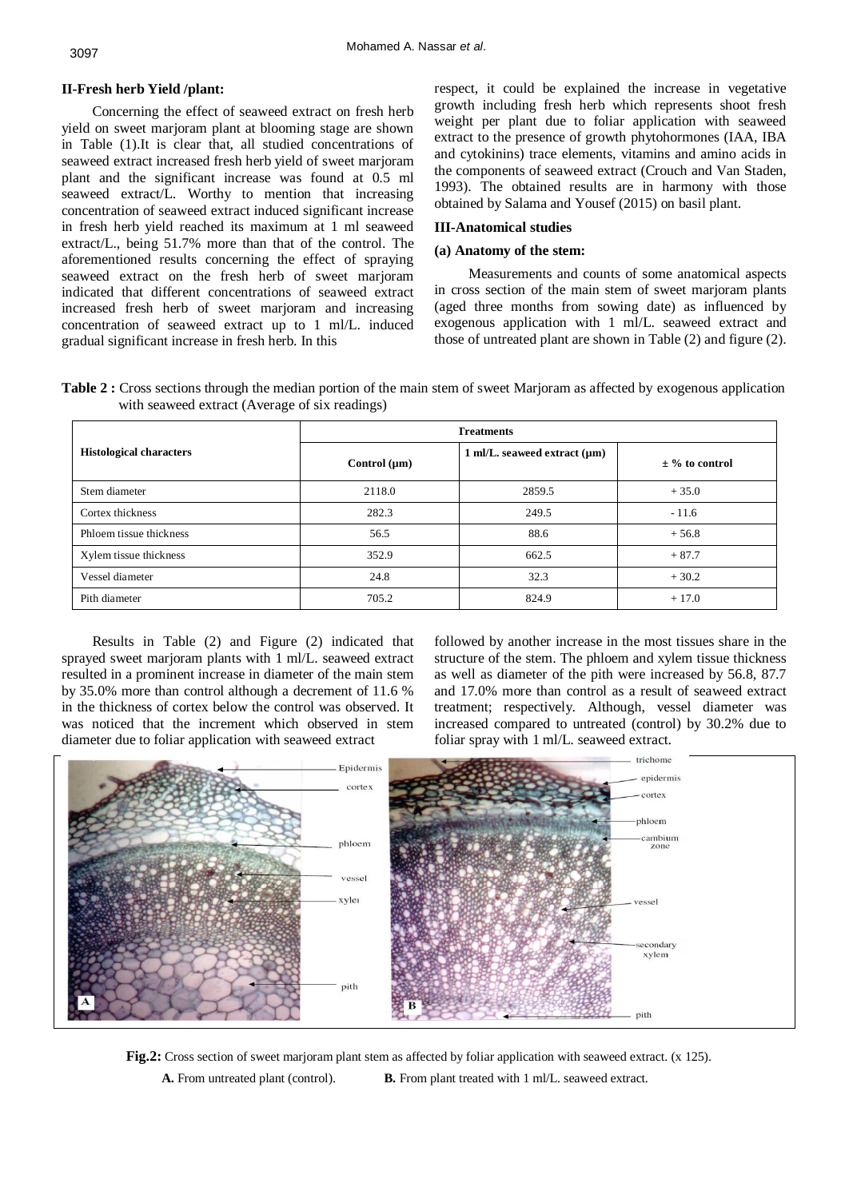# **II-Fresh herb Yield /plant:**

Concerning the effect of seaweed extract on fresh herb yield on sweet marjoram plant at blooming stage are shown in Table (1).It is clear that, all studied concentrations of seaweed extract increased fresh herb yield of sweet marjoram plant and the significant increase was found at 0.5 ml seaweed extract/L. Worthy to mention that increasing concentration of seaweed extract induced significant increase in fresh herb yield reached its maximum at 1 ml seaweed extract/L., being 51.7% more than that of the control. The aforementioned results concerning the effect of spraying seaweed extract on the fresh herb of sweet marjoram indicated that different concentrations of seaweed extract increased fresh herb of sweet marjoram and increasing concentration of seaweed extract up to 1 ml/L. induced gradual significant increase in fresh herb. In this

respect, it could be explained the increase in vegetative growth including fresh herb which represents shoot fresh weight per plant due to foliar application with seaweed extract to the presence of growth phytohormones (IAA, IBA and cytokinins) trace elements, vitamins and amino acids in the components of seaweed extract (Crouch and Van Staden, 1993). The obtained results are in harmony with those obtained by Salama and Yousef (2015) on basil plant.

# **III-Anatomical studies**

# **(a) Anatomy of the stem:**

Measurements and counts of some anatomical aspects in cross section of the main stem of sweet marjoram plants (aged three months from sowing date) as influenced by exogenous application with 1 ml/L. seaweed extract and those of untreated plant are shown in Table (2) and figure (2).

**Table 2 :** Cross sections through the median portion of the main stem of sweet Marjoram as affected by exogenous application with seaweed extract (Average of six readings)

|                                | <b>Treatments</b> |                                   |                    |
|--------------------------------|-------------------|-----------------------------------|--------------------|
| <b>Histological characters</b> | Control $(\mu m)$ | 1 ml/L. seaweed extract $(\mu m)$ | $\pm$ % to control |
| Stem diameter                  | 2118.0            | 2859.5                            | $+35.0$            |
| Cortex thickness               | 282.3             | 249.5                             | $-11.6$            |
| Phloem tissue thickness        | 56.5              | 88.6                              | $+56.8$            |
| Xylem tissue thickness         | 352.9             | 662.5                             | $+87.7$            |
| Vessel diameter                | 24.8              | 32.3                              | $+30.2$            |
| Pith diameter                  | 705.2             | 824.9                             | $+17.0$            |

Results in Table (2) and Figure (2) indicated that sprayed sweet marjoram plants with 1 ml/L. seaweed extract resulted in a prominent increase in diameter of the main stem by 35.0% more than control although a decrement of 11.6 % in the thickness of cortex below the control was observed. It was noticed that the increment which observed in stem diameter due to foliar application with seaweed extract

followed by another increase in the most tissues share in the structure of the stem. The phloem and xylem tissue thickness as well as diameter of the pith were increased by 56.8, 87.7 and 17.0% more than control as a result of seaweed extract treatment; respectively. Although, vessel diameter was increased compared to untreated (control) by 30.2% due to foliar spray with 1 ml/L. seaweed extract.



**Fig.2:** Cross section of sweet marjoram plant stem as affected by foliar application with seaweed extract. (x 125). **A.** From untreated plant (control). **B.** From plant treated with 1 ml/L. seaweed extract.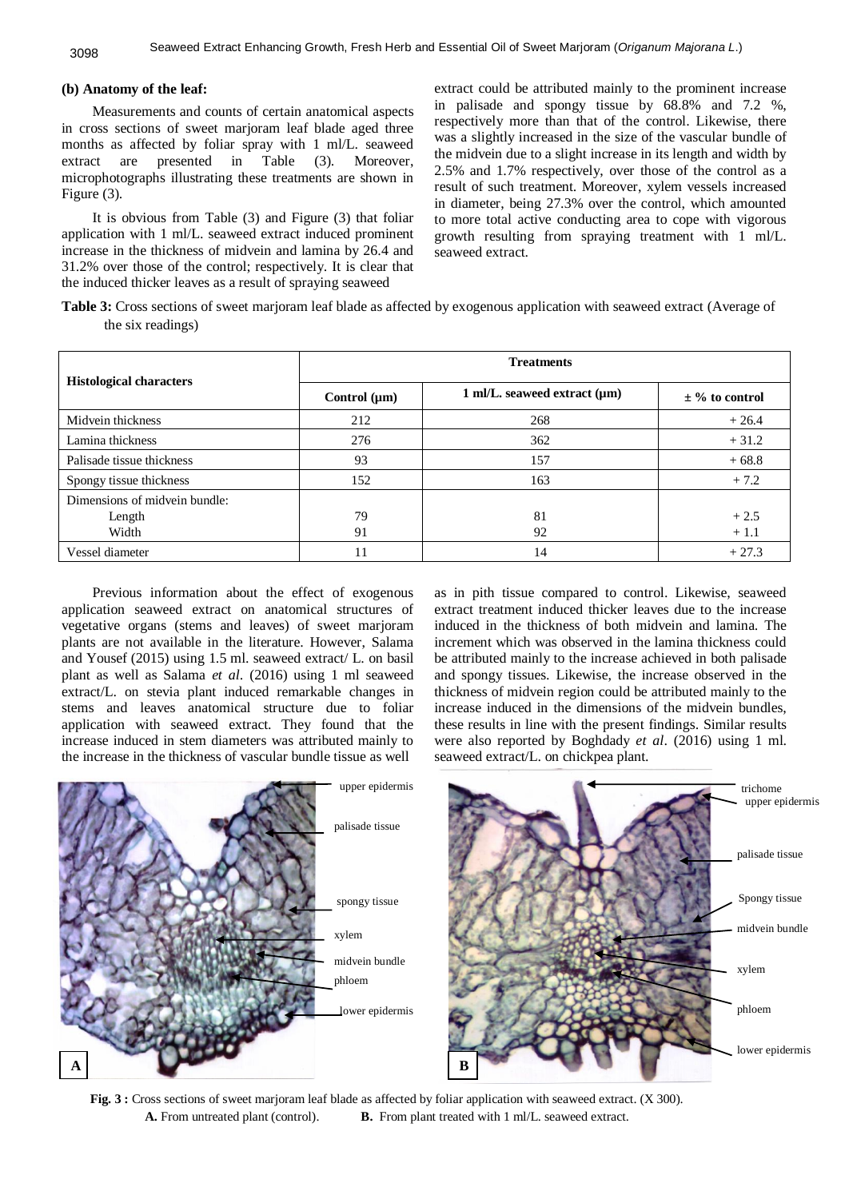# **(b) Anatomy of the leaf:**

Measurements and counts of certain anatomical aspects in cross sections of sweet marjoram leaf blade aged three months as affected by foliar spray with 1 ml/L. seaweed extract are presented in Table (3). Moreover, microphotographs illustrating these treatments are shown in Figure (3).

It is obvious from Table (3) and Figure (3) that foliar application with 1 ml/L. seaweed extract induced prominent increase in the thickness of midvein and lamina by 26.4 and 31.2% over those of the control; respectively. It is clear that the induced thicker leaves as a result of spraying seaweed

extract could be attributed mainly to the prominent increase in palisade and spongy tissue by 68.8% and 7.2 %, respectively more than that of the control. Likewise, there was a slightly increased in the size of the vascular bundle of the midvein due to a slight increase in its length and width by 2.5% and 1.7% respectively, over those of the control as a result of such treatment. Moreover, xylem vessels increased in diameter, being 27.3% over the control, which amounted to more total active conducting area to cope with vigorous growth resulting from spraying treatment with 1 ml/L. seaweed extract.

**Table 3:** Cross sections of sweet marjoram leaf blade as affected by exogenous application with seaweed extract (Average of the six readings)

| <b>Histological characters</b> | <b>Treatments</b> |                                   |                    |  |
|--------------------------------|-------------------|-----------------------------------|--------------------|--|
|                                | Control $(\mu m)$ | 1 ml/L. seaweed extract $(\mu m)$ | $\pm$ % to control |  |
| Midvein thickness              | 212               | 268                               | $+26.4$            |  |
| Lamina thickness               | 276               | 362                               | $+31.2$            |  |
| Palisade tissue thickness      | 93                | 157                               | $+68.8$            |  |
| Spongy tissue thickness        | 152               | 163                               | $+7.2$             |  |
| Dimensions of midvein bundle:  |                   |                                   |                    |  |
| Length                         | 79                | 81                                | $+2.5$             |  |
| Width                          | 91                | 92                                | $+1.1$             |  |
| Vessel diameter                | 11                | 14                                | $+27.3$            |  |

Previous information about the effect of exogenous application seaweed extract on anatomical structures of vegetative organs (stems and leaves) of sweet marjoram plants are not available in the literature. However, Salama and Yousef (2015) using 1.5 ml. seaweed extract/ L. on basil plant as well as Salama *et al*. (2016) using 1 ml seaweed extract/L. on stevia plant induced remarkable changes in stems and leaves anatomical structure due to foliar application with seaweed extract. They found that the increase induced in stem diameters was attributed mainly to the increase in the thickness of vascular bundle tissue as well

as in pith tissue compared to control. Likewise, seaweed extract treatment induced thicker leaves due to the increase induced in the thickness of both midvein and lamina. The increment which was observed in the lamina thickness could be attributed mainly to the increase achieved in both palisade and spongy tissues. Likewise, the increase observed in the thickness of midvein region could be attributed mainly to the increase induced in the dimensions of the midvein bundles, these results in line with the present findings. Similar results were also reported by Boghdady *et al*. (2016) using 1 ml. seaweed extract/L. on chickpea plant.



A. From untreated plant (control). **Fig. 3 :** Cross sections of sweet marjoram leaf blade as affected by foliar application with seaweed extract. (X 300). **B.** From plant treated with 1 ml/L. seaweed extract.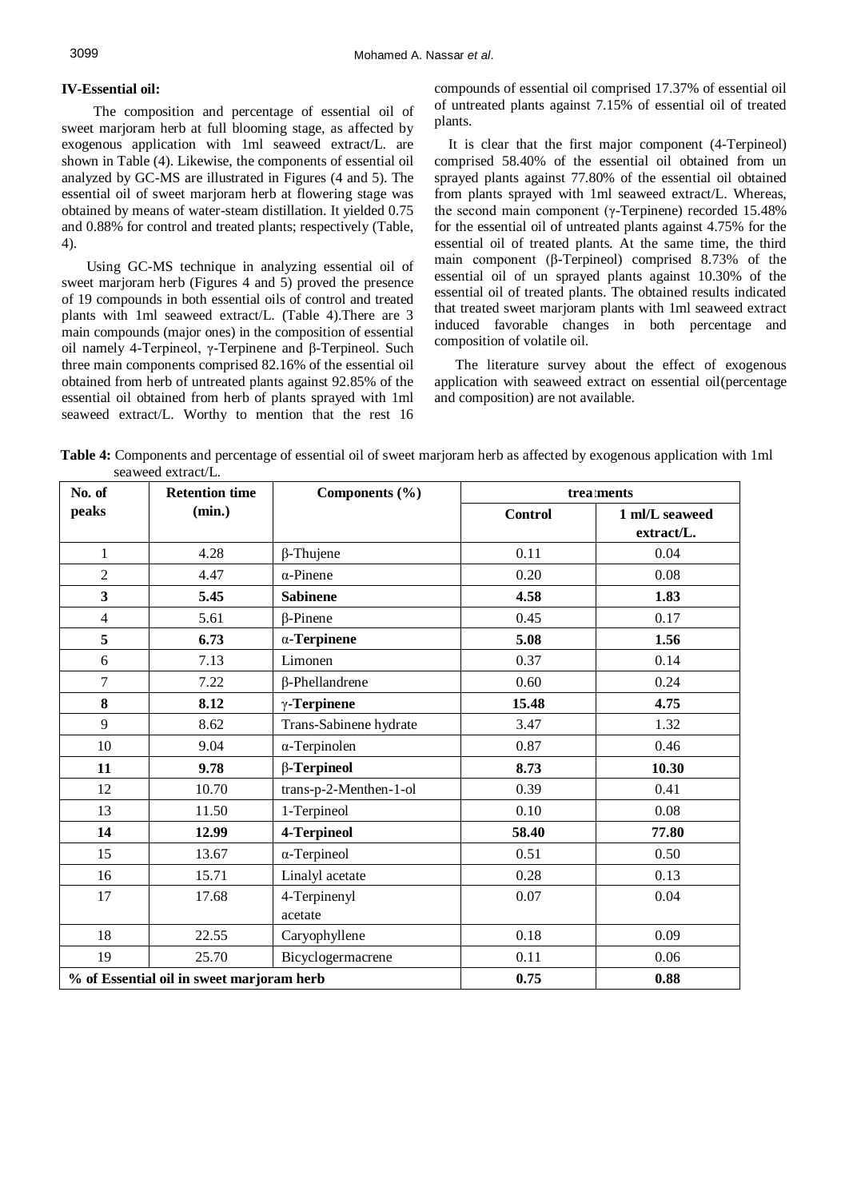# **IV-Essential oil:**

 The composition and percentage of essential oil of sweet marjoram herb at full blooming stage, as affected by exogenous application with 1ml seaweed extract/L. are shown in Table (4). Likewise, the components of essential oil analyzed by GC-MS are illustrated in Figures (4 and 5). The essential oil of sweet marjoram herb at flowering stage was obtained by means of water-steam distillation. It yielded 0.75 and 0.88% for control and treated plants; respectively (Table, 4).

 Using GC-MS technique in analyzing essential oil of sweet marjoram herb (Figures 4 and 5) proved the presence of 19 compounds in both essential oils of control and treated plants with 1ml seaweed extract/L. (Table 4).There are 3 main compounds (major ones) in the composition of essential oil namely 4-Terpineol, γ-Terpinene and β-Terpineol. Such three main components comprised 82.16% of the essential oil obtained from herb of untreated plants against 92.85% of the essential oil obtained from herb of plants sprayed with 1ml seaweed extract/L. Worthy to mention that the rest 16 compounds of essential oil comprised 17.37% of essential oil of untreated plants against 7.15% of essential oil of treated plants.

 It is clear that the first major component (4-Terpineol) comprised 58.40% of the essential oil obtained from un sprayed plants against 77.80% of the essential oil obtained from plants sprayed with 1ml seaweed extract/L. Whereas, the second main component (γ-Terpinene) recorded 15.48% for the essential oil of untreated plants against 4.75% for the essential oil of treated plants. At the same time, the third main component (β-Terpineol) comprised 8.73% of the essential oil of un sprayed plants against 10.30% of the essential oil of treated plants. The obtained results indicated that treated sweet marjoram plants with 1ml seaweed extract induced favorable changes in both percentage and composition of volatile oil.

 The literature survey about the effect of exogenous application with seaweed extract on essential oil(percentage and composition) are not available.

**Table 4:** Components and percentage of essential oil of sweet marjoram herb as affected by exogenous application with 1ml seaweed extract/L.

| No. of                                    | <b>Retention time</b> | Components (%)          | trea ments     |                              |
|-------------------------------------------|-----------------------|-------------------------|----------------|------------------------------|
| peaks                                     | (min.)                |                         | <b>Control</b> | 1 ml/L seaweed<br>extract/L. |
| $\mathbf{1}$                              | 4.28                  | $\beta$ -Thujene        | 0.11           | 0.04                         |
| $\overline{2}$                            | 4.47                  | $\alpha$ -Pinene        | 0.20           | 0.08                         |
| $\overline{\mathbf{3}}$                   | 5.45                  | <b>Sabinene</b>         | 4.58           | 1.83                         |
| $\overline{4}$                            | 5.61                  | $\beta$ -Pinene         | 0.45           | 0.17                         |
| 5                                         | 6.73                  | $\alpha$ -Terpinene     | 5.08           | 1.56                         |
| 6                                         | 7.13                  | Limonen                 | 0.37           | 0.14                         |
| $\overline{7}$                            | 7.22                  | $\beta$ -Phellandrene   | 0.60           | 0.24                         |
| 8                                         | 8.12                  | $\gamma$ -Terpinene     | 15.48          | 4.75                         |
| 9                                         | 8.62                  | Trans-Sabinene hydrate  | 3.47           | 1.32                         |
| 10                                        | 9.04                  | $\alpha$ -Terpinolen    | 0.87           | 0.46                         |
| 11                                        | 9.78                  | $\beta$ -Terpineol      | 8.73           | 10.30                        |
| 12                                        | 10.70                 | trans-p-2-Menthen-1-ol  | 0.39           | 0.41                         |
| 13                                        | 11.50                 | 1-Terpineol             | 0.10           | 0.08                         |
| 14                                        | 12.99                 | 4-Terpineol             | 58.40          | 77.80                        |
| 15                                        | 13.67                 | α-Terpineol             | 0.51           | 0.50                         |
| 16                                        | 15.71                 | Linalyl acetate         | 0.28           | 0.13                         |
| 17                                        | 17.68                 | 4-Terpinenyl<br>acetate | 0.07           | 0.04                         |
| 18                                        | 22.55                 | Caryophyllene           | 0.18           | 0.09                         |
| 19                                        | 25.70                 | Bicyclogermacrene       | 0.11           | 0.06                         |
| % of Essential oil in sweet marjoram herb |                       | 0.75                    | 0.88           |                              |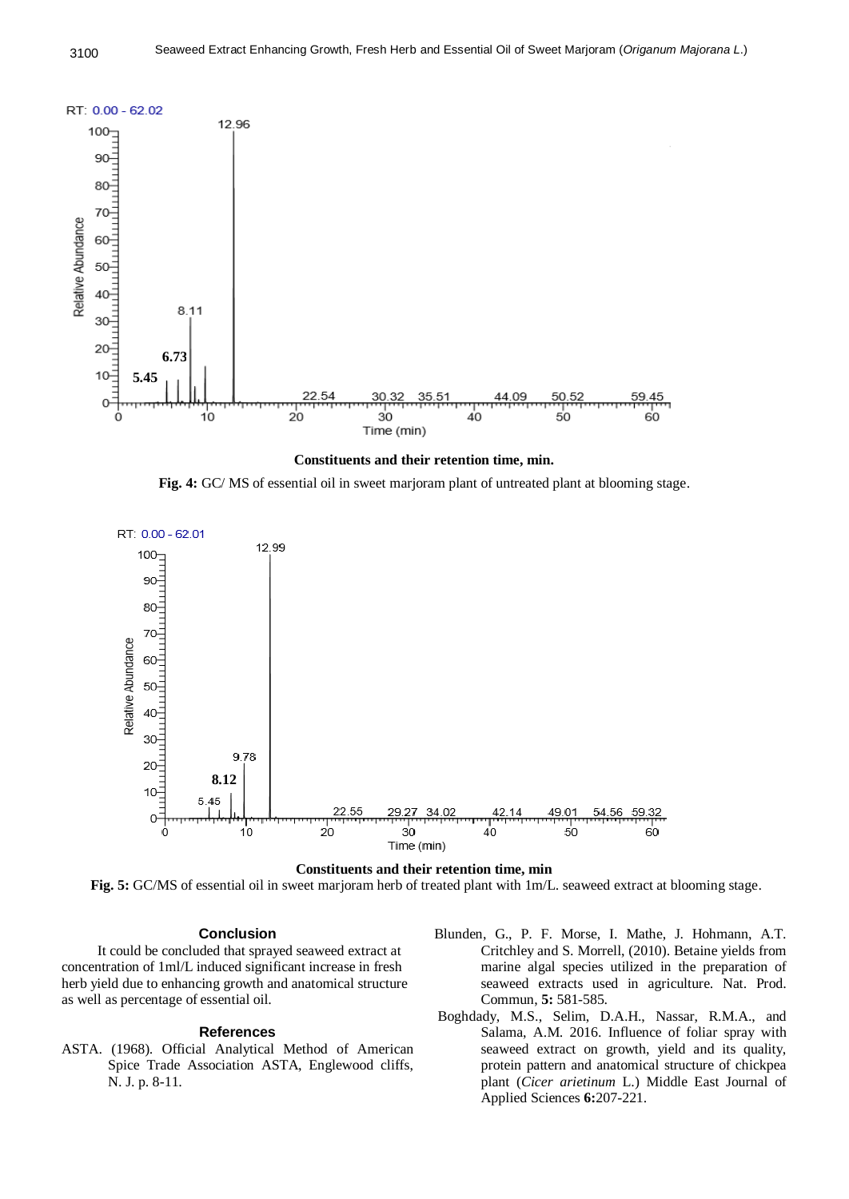

## **Constituents and their retention time, min.**

**Fig. 4:** GC/ MS of essential oil in sweet marjoram plant of untreated plant at blooming stage.





**Fig. 5:** GC/MS of essential oil in sweet marjoram herb of treated plant with 1m/L. seaweed extract at blooming stage.

### **Conclusion**

 It could be concluded that sprayed seaweed extract at concentration of 1ml/L induced significant increase in fresh herb yield due to enhancing growth and anatomical structure as well as percentage of essential oil.

### **References**

- ASTA. (1968). Official Analytical Method of American Spice Trade Association ASTA, Englewood cliffs, N. J. p. 8-11.
- Blunden, G., P. F. Morse, I. Mathe, J. Hohmann, A.T. Critchley and S. Morrell, (2010). Betaine yields from marine algal species utilized in the preparation of seaweed extracts used in agriculture. Nat. Prod. Commun, **5:** 581-585.
- Boghdady, M.S., Selim, D.A.H., Nassar, R.M.A., and Salama, A.M. 2016. Influence of foliar spray with seaweed extract on growth, yield and its quality, protein pattern and anatomical structure of chickpea plant (*Cicer arietinum* L.) Middle East Journal of Applied Sciences **6:**207-221.